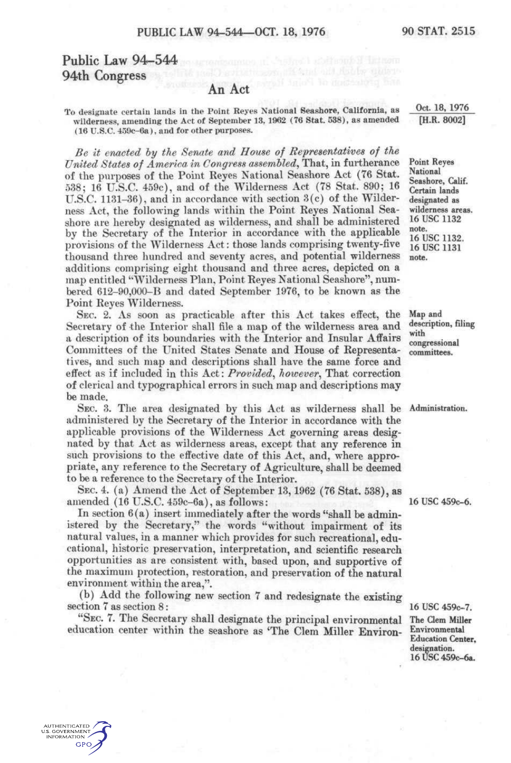### Public Law 94-544 94th Congress

AUTHENTICATED **U.S. GOVERNMENT INFORMATION GPO** 

#### An Act

To designate certain lands in the Point Reyes National Seashore, California, as wilderness, amending the Act of September 13, 1962 (76 Stat. 538), as amended (16 U.S.C. 459c-6a), and for other purposes.

*Be it enacted hy the Senate and House of Representatives of the United States of America in Congress assembled^* That, in furtherance of the purposes of the Point Reyes National Seashore Act (76 Stat. 538; 16 U.S.C. 459c), and of the Wilderness Act (78 Stat. 890; 16 U.S.C. 1131-36), and in accordance with section 3(c) of the Wilderness Act, the following lands within the Point Reyes National Seashore are hereby designated as wilderness, and shall be administered by the Secretary of the Interior in accordance with the applicable provisions of the Wilderness Act: those lands comprising twenty-five thousand three hundred and seventy acres, and potential wilderness additions comprising eight thousand and three acres, depicted on a map entitled "Wilderness Plan, Point Reyes National Seashore", numbered 612-90,000-B and dated September 1976, to be known as the Point Reyes Wilderness.

SEC. 2. As soon as practicable after this Act takes effect, the Secretary of the Interior shall file a map of the wilderness area and a description of its boundaries with the Interior and Insular Affairs Committees of the United States Senate and House of Representatives, and such map and descriptions shall have the same force and effect as if included in this Act: *Provided^ however^* That correction of clerical and typographical errors in such map and descriptions may be made.

SEC. 3. The area designated by this Act as wilderness shall be Administration. administered by the Secretary of the Interior in accordance with the applicable provisions of the Wilderness Act governing areas designated by that Act as wilderness areas, except that any reference in such provisions to the effective date of this Act, and, where appropriate, any reference to the Secretary of Agriculture, shall be deemed to be a reference to the Secretary of the Interior.

SEC. 4. (a) Amend the Act of September 13,1962 (76 Stat. 538), as amended (16 U.S.C. 459c-6a), as follows:

In section 6(a) insert immediately after the words "shall be administered by the Secretary," the words "without impairment of its natural values, in a manner which provides for such recreational, educational, historic preservation, interpretation, and scientific research opportunities as are consistent with, based upon, and supportive of the maximum protection, restoration, and preservation of the natural environment within the area,".

(b) Add the following new section 7 and redesignate the existing section 7 as section 8:

"SEC. 7. The Secretary shall designate the principal environmental education center within the seashore as 'The Clem Miller Environ-

Oct. 18, 1976 [H.R. 8002]

Point Reyes National Seashore, Calif. Certain lands designated as wilderness areas. 16 USC 1132 note. 16 USC 1132. 16 USC 1131 note.

Map and description, filing with congressional committees.

16 USC 459c-6.

16 USC 459c-7. The Clem Miller Environmental Education Center, designation. 16 USC 459c-6a.